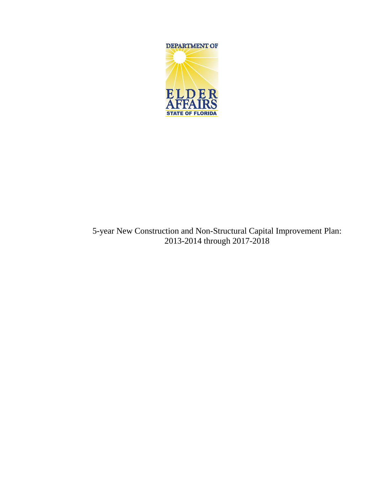

## 5-year New Construction and Non-Structural Capital Improvement Plan: 2013-2014 through 2017-2018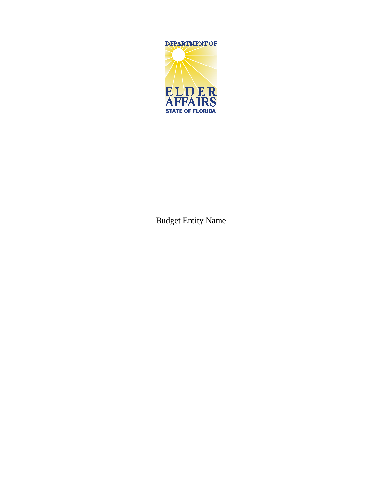

Budget Entity Name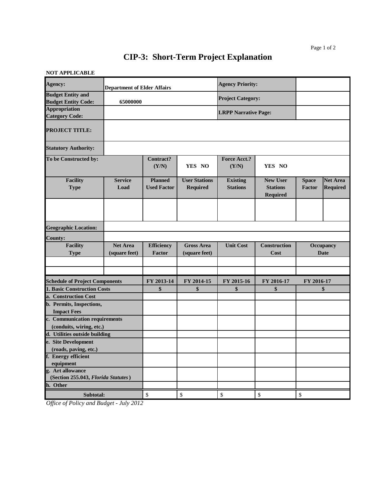## **CIP-3: Short-Term Project Explanation**

## **NOT APPLICABLE**

| Agency:                                                 | <b>Department of Elder Affairs</b> |                                      |                                         | <b>Agency Priority:</b>            |                                                |                          |                                    |
|---------------------------------------------------------|------------------------------------|--------------------------------------|-----------------------------------------|------------------------------------|------------------------------------------------|--------------------------|------------------------------------|
| <b>Budget Entity and</b><br><b>Budget Entity Code:</b>  | 65000000                           |                                      |                                         | <b>Project Category:</b>           |                                                |                          |                                    |
| <b>Appropriation</b><br><b>Category Code:</b>           |                                    |                                      |                                         | <b>LRPP Narrative Page:</b>        |                                                |                          |                                    |
| <b>PROJECT TITLE:</b>                                   |                                    |                                      |                                         |                                    |                                                |                          |                                    |
| <b>Statutory Authority:</b>                             |                                    |                                      |                                         |                                    |                                                |                          |                                    |
| To be Constructed by:                                   |                                    | Contract?<br>(Y/N)                   | YES NO                                  | <b>Force Acct.?</b><br>(Y/N)       | YES NO                                         |                          |                                    |
| <b>Facility</b><br><b>Type</b>                          | <b>Service</b><br>Load             | <b>Planned</b><br><b>Used Factor</b> | <b>User Stations</b><br><b>Required</b> | <b>Existing</b><br><b>Stations</b> | <b>New User</b><br><b>Stations</b><br>Required | <b>Space</b><br>Factor   | <b>Net Area</b><br><b>Required</b> |
|                                                         |                                    |                                      |                                         |                                    |                                                |                          |                                    |
| <b>Geographic Location:</b>                             |                                    |                                      |                                         |                                    |                                                |                          |                                    |
| <b>County:</b>                                          |                                    |                                      |                                         |                                    |                                                |                          |                                    |
| <b>Facility</b><br><b>Type</b>                          | <b>Net Area</b><br>(square feet)   | <b>Efficiency</b><br>Factor          | <b>Gross Area</b><br>(square feet)      | <b>Unit Cost</b>                   | <b>Construction</b><br>Cost                    | Occupancy<br><b>Date</b> |                                    |
|                                                         |                                    |                                      |                                         |                                    |                                                |                          |                                    |
| <b>Schedule of Project Components</b>                   |                                    | FY 2013-14                           | FY 2014-15                              | FY 2015-16                         | FY 2016-17                                     | FY 2016-17               |                                    |
| <b>1. Basic Construction Costs</b>                      |                                    | \$                                   | \$                                      | \$                                 | \$                                             | \$                       |                                    |
| a. Construction Cost                                    |                                    |                                      |                                         |                                    |                                                |                          |                                    |
| b. Permits, Inspections,                                |                                    |                                      |                                         |                                    |                                                |                          |                                    |
| <b>Impact Fees</b>                                      |                                    |                                      |                                         |                                    |                                                |                          |                                    |
| c. Communication requirements                           |                                    |                                      |                                         |                                    |                                                |                          |                                    |
| (conduits, wiring, etc.)                                |                                    |                                      |                                         |                                    |                                                |                          |                                    |
| d. Utilities outside building                           |                                    |                                      |                                         |                                    |                                                |                          |                                    |
| e. Site Development                                     |                                    |                                      |                                         |                                    |                                                |                          |                                    |
| (roads, paving, etc.)<br>f. Energy efficient            |                                    |                                      |                                         |                                    |                                                |                          |                                    |
| equipment                                               |                                    |                                      |                                         |                                    |                                                |                          |                                    |
| g. Art allowance<br>(Section 255.043, Florida Statutes) |                                    |                                      |                                         |                                    |                                                |                          |                                    |
| h. Other                                                |                                    |                                      |                                         |                                    |                                                |                          |                                    |
| Subtotal:                                               |                                    | $\mathbb{S}$                         | $\mathbb{S}$                            | \$                                 | \$                                             | \$                       |                                    |

*Office of Policy and Budget - July 2012*